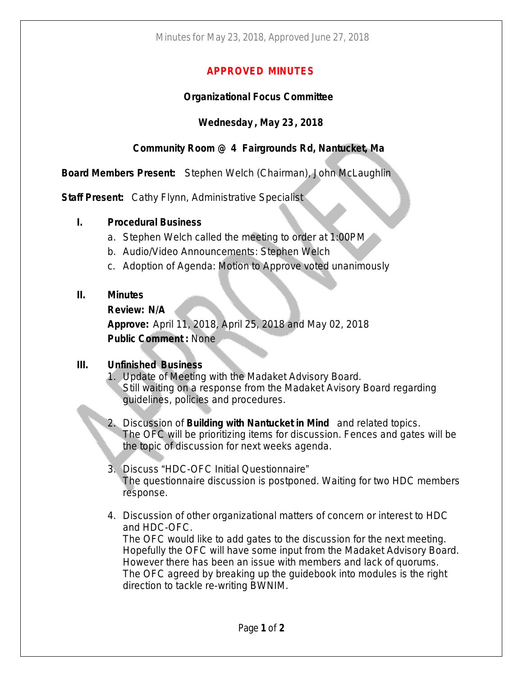## **APPROVED MINUTES**

### **Organizational Focus Committee**

## **Wednesday , May 23, 2018**

# **Community Room @ 4 Fairgrounds Rd, Nantucket, Ma**

**Board Members Present:** Stephen Welch (Chairman), John McLaughlin

**Staff Present:** Cathy Flynn, Administrative Specialist

## **I. Procedural Business**

- a. Stephen Welch called the meeting to order at 1:00PM
- b. Audio/Video Announcements: Stephen Welch
- c. Adoption of Agenda: Motion to Approve voted unanimously

## **II. Minutes**

**Review: N/A**

**Approve:** April 11, 2018, April 25, 2018 and May 02, 2018 **Public Comment :** None

#### **III. Unfinished Business**

- 1. Update of Meeting with the Madaket Advisory Board. Still waiting on a response from the Madaket Avisory Board regarding guidelines, policies and procedures.
- 2. Discussion of **Building with Nantucket in Mind** and related topics. The OFC will be prioritizing items for discussion. Fences and gates will be the topic of discussion for next weeks agenda.
- 3. Discuss "HDC-OFC Initial Questionnaire" The questionnaire discussion is postponed. Waiting for two HDC members response.
- 4. Discussion of other organizational matters of concern or interest to HDC and HDC-OFC.

The OFC would like to add gates to the discussion for the next meeting. Hopefully the OFC will have some input from the Madaket Advisory Board. However there has been an issue with members and lack of quorums. The OFC agreed by breaking up the guidebook into modules is the right direction to tackle re-writing BWNIM.